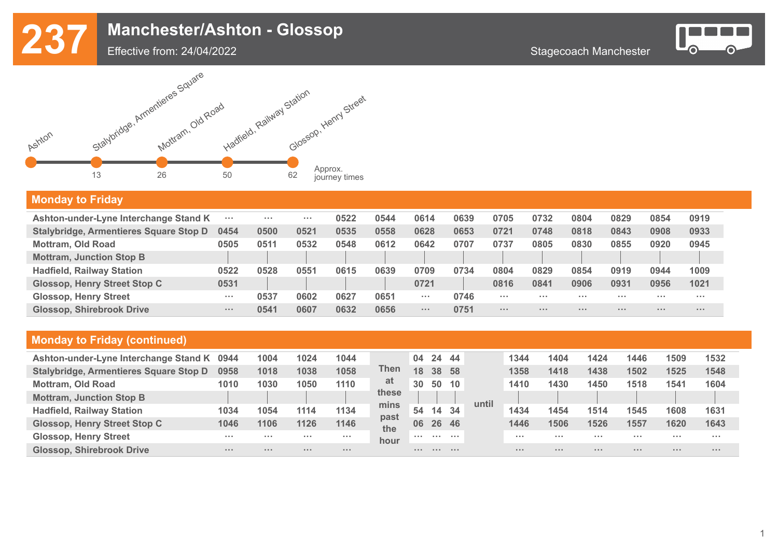

#### Effective from: 24/04/2022



### **Monday to Friday**

| Ashton-under-Lyne Interchange Stand K  | $\sim$ $\sim$ $\sim$ | $\cdots$ | $\sim$ $\sim$ $\sim$ | 0522 | 0544 | 0614                 | 0639 | 0705                 | 0732     | 0804                 | 0829     | 0854     | 0919     |
|----------------------------------------|----------------------|----------|----------------------|------|------|----------------------|------|----------------------|----------|----------------------|----------|----------|----------|
| Stalybridge, Armentieres Square Stop D | 0454                 | 0500     | 0521                 | 0535 | 0558 | 0628                 | 0653 | 0721                 | 0748     | 0818                 | 0843     | 0908     | 0933     |
| <b>Mottram, Old Road</b>               | 0505                 | 0511     | 0532                 | 0548 | 0612 | 0642                 | 0707 | 0737                 | 0805     | 0830                 | 0855     | 0920     | 0945     |
| <b>Mottram, Junction Stop B</b>        |                      |          |                      |      |      |                      |      |                      |          |                      |          |          |          |
| <b>Hadfield, Railway Station</b>       | 0522                 | 0528     | 0551                 | 0615 | 0639 | 0709                 | 0734 | 0804                 | 0829     | 0854                 | 0919     | 0944     | 1009     |
| <b>Glossop, Henry Street Stop C</b>    | 0531                 |          |                      |      |      | 0721                 |      | 0816                 | 0841     | 0906                 | 0931     | 0956     | 1021     |
| <b>Glossop, Henry Street</b>           | $\sim$ $\sim$ $\sim$ | 0537     | 0602                 | 0627 | 0651 | $\sim$ $\sim$ $\sim$ | 0746 | $\sim$ $\sim$ $\sim$ | $\cdots$ | $\sim$ $\sim$ $\sim$ | $\cdots$ | .        | $\cdots$ |
| <b>Glossop, Shirebrook Drive</b>       | $\sim$ 10 $\sim$     | 0541     | 0607                 | 0632 | 0656 | $\cdots$             | 0751 | $\sim$ $\sim$ $\sim$ | .        | $\sim$ 10 $\sim$     | $\cdots$ | $\cdots$ | $\cdots$ |

| Ashton-under-Lyne Interchange Stand K         | 0944 | 1004     | 1024     | 1044 |             | 04 | 24       | -44 |       | 1344                 | 1404     | 1424     | 1446     | 1509 | 1532     |
|-----------------------------------------------|------|----------|----------|------|-------------|----|----------|-----|-------|----------------------|----------|----------|----------|------|----------|
| <b>Stalybridge, Armentieres Square Stop D</b> | 0958 | 1018     | 1038     | 1058 | Then        | 18 | 38 58    |     |       | 1358                 | 1418     | 1438     | 1502     | 1525 | 1548     |
| <b>Mottram, Old Road</b>                      | 1010 | 1030     | 1050     | 1110 | at          | 30 | 50       | 10  |       | 1410                 | 1430     | 1450     | 1518     | 1541 | 1604     |
| <b>Mottram, Junction Stop B</b>               |      |          |          |      | these       |    |          |     | until |                      |          |          |          |      |          |
| <b>Hadfield, Railway Station</b>              | 1034 | 1054     | 1114     | 1134 | mins        | 54 | 14       | -34 |       | 1434                 | 1454     | 1514     | 1545     | 1608 | 1631     |
| <b>Glossop, Henry Street Stop C</b>           | 1046 | 1106     | 1126     | 1146 | past<br>the | 06 | 26 46    |     |       | 1446                 | 1506     | 1526     | 1557     | 1620 | 1643     |
| <b>Glossop, Henry Street</b>                  | .    | .        | $\cdots$ | .    | hour        | .  | .        | .   |       | $\sim$ $\sim$ $\sim$ | .        | $\cdots$ | $\cdots$ | .    | $\cdots$ |
| <b>Glossop, Shirebrook Drive</b>              | .    | $\cdots$ | $\cdots$ |      |             |    | $\cdots$ | .   |       | $\cdots$             | $\cdots$ | $\cdots$ | $\cdots$ | .    | $\cdots$ |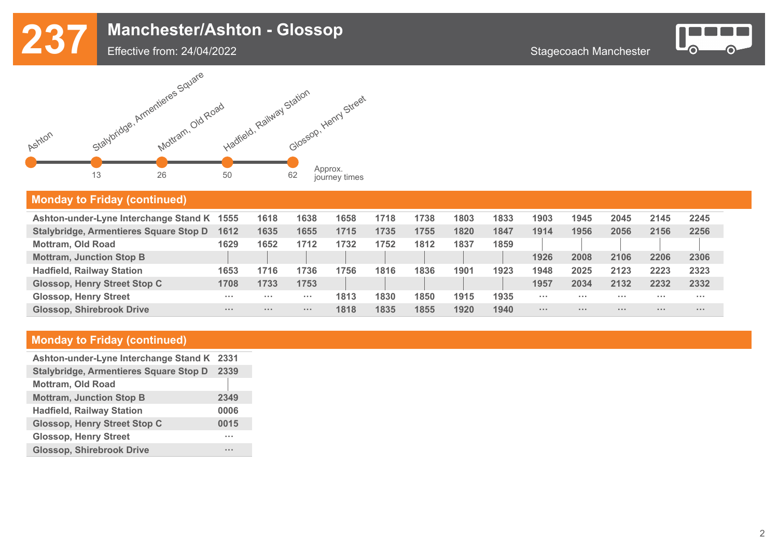

Effective from: 24/04/2022



#### **Monday to Friday (continued)**

| Ashton-under-Lyne Interchange Stand K 1555 |                      | 1618     | 1638                 | 1658 | 1718 | 1738 | 1803 | 1833 | 1903                 | 1945             | 2045     | 2145                 | 2245     |
|--------------------------------------------|----------------------|----------|----------------------|------|------|------|------|------|----------------------|------------------|----------|----------------------|----------|
| Stalybridge, Armentieres Square Stop D     | 1612                 | 1635     | 1655                 | 1715 | 1735 | 1755 | 1820 | 1847 | 1914                 | 1956             | 2056     | 2156                 | 2256     |
| <b>Mottram, Old Road</b>                   | 1629                 | 1652     | 1712                 | 1732 | 1752 | 1812 | 1837 | 1859 |                      |                  |          |                      |          |
| <b>Mottram, Junction Stop B</b>            |                      |          |                      |      |      |      |      |      | 1926                 | 2008             | 2106     | 2206                 | 2306     |
| <b>Hadfield, Railway Station</b>           | 1653                 | 1716     | 1736                 | 1756 | 1816 | 1836 | 1901 | 1923 | 1948                 | 2025             | 2123     | 2223                 | 2323     |
| <b>Glossop, Henry Street Stop C</b>        | 1708                 | 1733     | 1753                 |      |      |      |      |      | 1957                 | 2034             | 2132     | 2232                 | 2332     |
| <b>Glossop, Henry Street</b>               | $\sim$ $\sim$ $\sim$ | $\cdots$ | $\sim$ $\sim$ $\sim$ | 1813 | 1830 | 1850 | 1915 | 1935 | $\sim$ $\sim$ $\sim$ | .                |          | $\sim$ $\sim$ $\sim$ | $\cdots$ |
| <b>Glossop, Shirebrook Drive</b>           | $\sim$ 10 $\sim$     | $\cdots$ | $\sim$ $\sim$ $\sim$ | 1818 | 1835 | 1855 | 1920 | 1940 | $\cdots$             | $\sim$ 10 $\sim$ | $\cdots$ | $\sim$ $\sim$ $\sim$ | $\cdots$ |

| Ashton-under-Lyne Interchange Stand K 2331    |      |
|-----------------------------------------------|------|
| <b>Stalybridge, Armentieres Square Stop D</b> | 2339 |
| <b>Mottram, Old Road</b>                      |      |
| <b>Mottram, Junction Stop B</b>               | 2349 |
| <b>Hadfield, Railway Station</b>              | 0006 |
| <b>Glossop, Henry Street Stop C</b>           | 0015 |
| <b>Glossop, Henry Street</b>                  |      |
| <b>Glossop, Shirebrook Drive</b>              |      |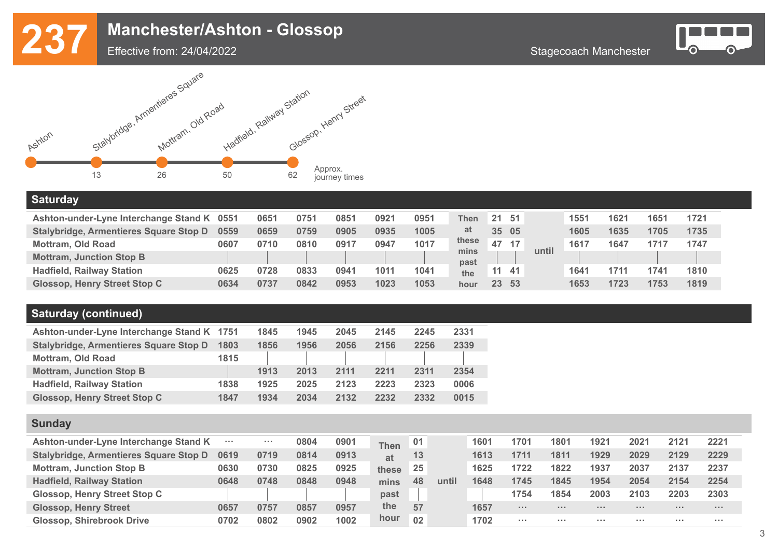





#### **Saturday**

| Ashton-under-Lyne Interchange Stand K 0551 |      | 0651 | 0751 | 0851 | 0921 | 0951 | <b>Then</b>  | 21 <sup>1</sup> | -51 |       | 1551 | 1621 | 1651 | 1721 |
|--------------------------------------------|------|------|------|------|------|------|--------------|-----------------|-----|-------|------|------|------|------|
| Stalybridge, Armentieres Square Stop D     | 0559 | 0659 | 0759 | 0905 | 0935 | 1005 | at           | 35 05           |     |       | 1605 | 1635 | 1705 | 1735 |
| <b>Mottram, Old Road</b>                   | 0607 | 0710 | 0810 | 0917 | 0947 | 1017 | these        | 47              | 17  |       | 1617 | 1647 | 1717 | 1747 |
| <b>Mottram, Junction Stop B</b>            |      |      |      |      |      |      | mins<br>past |                 |     | until |      |      |      |      |
| <b>Hadfield, Railway Station</b>           | 0625 | 0728 | 0833 | 0941 | 1011 | 1041 | the          | 11              | -41 |       | 1641 | 171  | 1741 | 1810 |
| <b>Glossop, Henry Street Stop C</b>        | 0634 | 0737 | 0842 | 0953 | 1023 | 1053 | hour         | 23 <sup>°</sup> | 53  |       | 1653 | 1723 | 1753 | 1819 |

### **Saturday (continued)**

| Ashton-under-Lyne Interchange Stand K 1751    |      | 1845 | 1945 | 2045 | 2145 | 2245 | 2331 |
|-----------------------------------------------|------|------|------|------|------|------|------|
| <b>Stalybridge, Armentieres Square Stop D</b> | 1803 | 1856 | 1956 | 2056 | 2156 | 2256 | 2339 |
| <b>Mottram, Old Road</b>                      | 1815 |      |      |      |      |      |      |
| <b>Mottram, Junction Stop B</b>               |      | 1913 | 2013 | 2111 | 2211 | 2311 | 2354 |
| <b>Hadfield, Railway Station</b>              | 1838 | 1925 | 2025 | 2123 | 2223 | 2323 | 0006 |
| <b>Glossop, Henry Street Stop C</b>           | 1847 | 1934 | 2034 | 2132 | 2232 | 2332 | 0015 |

#### **Sunday**

| Ashton-under-Lyne Interchange Stand K  | $\sim$ $\sim$ $\sim$ | $\cdots$ | 0804 | 0901 | <b>Then</b> | 01 |       | 1601 | 1701                 | 1801     | 1921  | 2021     | 2121     | 2221     |
|----------------------------------------|----------------------|----------|------|------|-------------|----|-------|------|----------------------|----------|-------|----------|----------|----------|
| Stalybridge, Armentieres Square Stop D | 0619                 | 0719     | 0814 | 0913 | at          | 13 |       | 1613 | 1711                 | 1811     | 1929  | 2029     | 2129     | 2229     |
| <b>Mottram, Junction Stop B</b>        | <b>0630</b>          | 0730     | 0825 | 0925 | these       | 25 |       | 1625 | 1722                 | 1822     | 1937  | 2037     | 2137     | 2237     |
| <b>Hadfield, Railway Station</b>       | 0648                 | 0748     | 0848 | 0948 | mins        | 48 | until | 1648 | 1745                 | 1845     | 1954  | 2054     | 2154     | 2254     |
| Glossop, Henry Street Stop C           |                      |          |      |      | past        |    |       |      | 1754                 | 1854     | 2003  | 2103     | 2203     | 2303     |
| <b>Glossop, Henry Street</b>           | 0657                 | 0757     | 0857 | 0957 | the         | 57 |       | 1657 | 1.1.1                | $\cdots$ | 1.1.1 | $\cdots$ | $\cdots$ | $\cdots$ |
| <b>Glossop, Shirebrook Drive</b>       | 0702                 | 0802     | 0902 | 1002 | hour        | 02 |       | 1702 | $\sim$ $\sim$ $\sim$ | $\cdots$ | .     | .        | .        | $\cdots$ |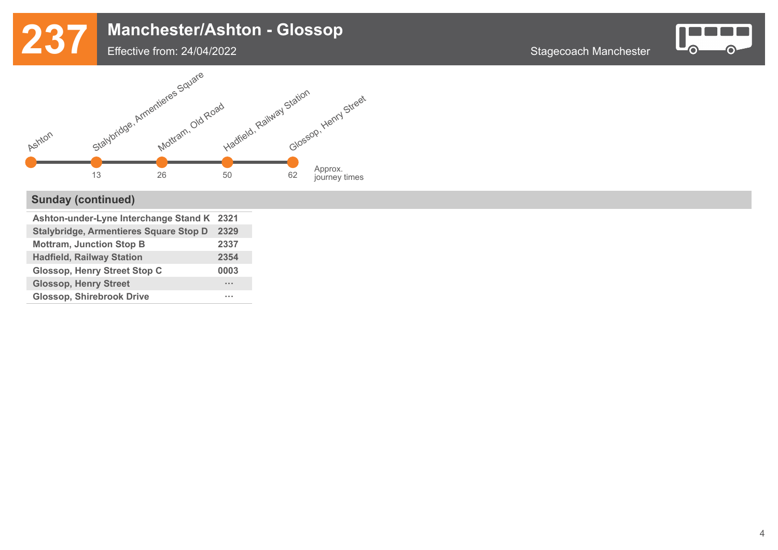

### Effective from: 24/04/2022



## **Sunday (continued)**

| Ashton-under-Lyne Interchange Stand K 2321 |
|--------------------------------------------|
| 2329                                       |
| 2337                                       |
| 2354                                       |
| 0003                                       |
| <b>1111</b>                                |
|                                            |
|                                            |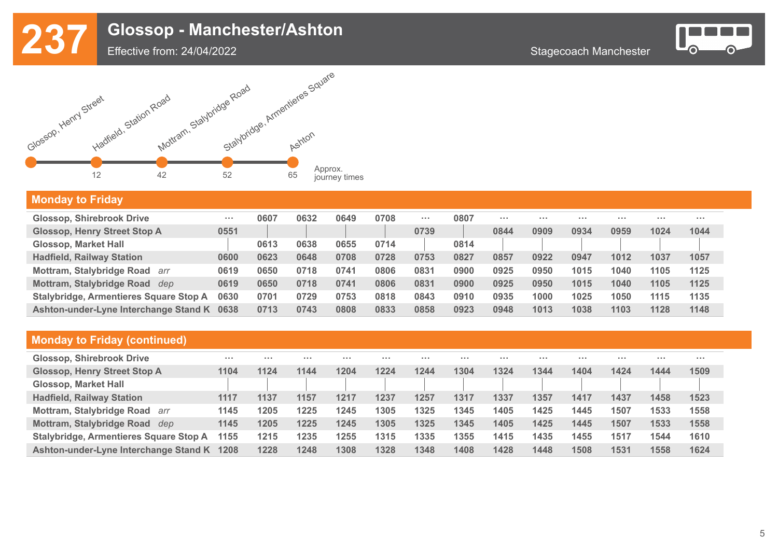





## **Monday to Friday**

| <b>Glossop, Shirebrook Drive</b>        | $\sim$ $\sim$ $\sim$ | 0607 | 0632 | 0649 | 0708 | $\sim$ $\sim$ $\sim$ | 0807 | $\cdots$ | $\cdots$ | $\sim$ $\sim$ $\sim$ | $\cdots$ | $\cdots$ | $\cdots$ |
|-----------------------------------------|----------------------|------|------|------|------|----------------------|------|----------|----------|----------------------|----------|----------|----------|
| <b>Glossop, Henry Street Stop A</b>     | 0551                 |      |      |      |      | 0739                 |      | 0844     | 0909     | 0934                 | 0959     | 1024     | 1044     |
| <b>Glossop, Market Hall</b>             |                      | 0613 | 0638 | 0655 | 0714 |                      | 0814 |          |          |                      |          |          |          |
| <b>Hadfield, Railway Station</b>        | 0600                 | 0623 | 0648 | 0708 | 0728 | 0753                 | 0827 | 0857     | 0922     | 0947                 | 1012     | 1037     | 1057     |
| <b>Mottram, Stalybridge Road</b><br>arr | 0619                 | 0650 | 0718 | 0741 | 0806 | 0831                 | 0900 | 0925     | 0950     | 1015                 | 1040     | 1105     | 1125     |
| Mottram, Stalybridge Road<br>dep        | 0619                 | 0650 | 0718 | 0741 | 0806 | 0831                 | 0900 | 0925     | 0950     | 1015                 | 1040     | 1105     | 1125     |
| Stalybridge, Armentieres Square Stop A  | 0630                 | 0701 | 0729 | 0753 | 0818 | 0843                 | 0910 | 0935     | 1000     | 1025                 | 1050     | 1115     | 1135     |
| Ashton-under-Lyne Interchange Stand K   | 0638                 | 0713 | 0743 | 0808 | 0833 | 0858                 | 0923 | 0948     | 1013     | 1038                 | 1103     | 1128     | 1148     |

| <b>Glossop, Shirebrook Drive</b>       | $\sim$ $\sim$ $\sim$ | $\cdots$ | .    | $\cdots$ | $\cdots$ | $\cdots$ | $\cdots$ | .    | $\cdots$ | $\sim$ $\sim$ $\sim$ | $\cdots$ | $\sim$ $\sim$ $\sim$ | $\sim$ $\sim$ $\sim$ |
|----------------------------------------|----------------------|----------|------|----------|----------|----------|----------|------|----------|----------------------|----------|----------------------|----------------------|
| <b>Glossop, Henry Street Stop A</b>    | 1104                 | 1124     | 1144 | 1204     | 1224     | 1244     | 1304     | 1324 | 1344     | 1404                 | 1424     | 1444                 | 1509                 |
| <b>Glossop, Market Hall</b>            |                      |          |      |          |          |          |          |      |          |                      |          |                      |                      |
| <b>Hadfield, Railway Station</b>       | 1117                 | 1137     | 1157 | 1217     | 1237     | 1257     | 1317     | 1337 | 1357     | 1417                 | 1437     | 1458                 | 1523                 |
| Mottram, Stalybridge Road<br>arr       | 1145                 | 1205     | 1225 | 1245     | 1305     | 1325     | 1345     | 1405 | 1425     | 1445                 | 1507     | 1533                 | 1558                 |
| Mottram, Stalybridge Road<br>dep       | 1145                 | 1205     | 1225 | 1245     | 1305     | 1325     | 1345     | 1405 | 1425     | 1445                 | 1507     | 1533                 | 1558                 |
| Stalybridge, Armentieres Square Stop A | 1155                 | 1215     | 1235 | 1255     | 1315     | 1335     | 1355     | 1415 | 1435     | 1455                 | 1517     | 1544                 | 1610                 |
| Ashton-under-Lyne Interchange Stand K  | 1208                 | 1228     | 1248 | 1308     | 1328     | 1348     | 1408     | 1428 | 1448     | 1508                 | 1531     | 1558                 | 1624                 |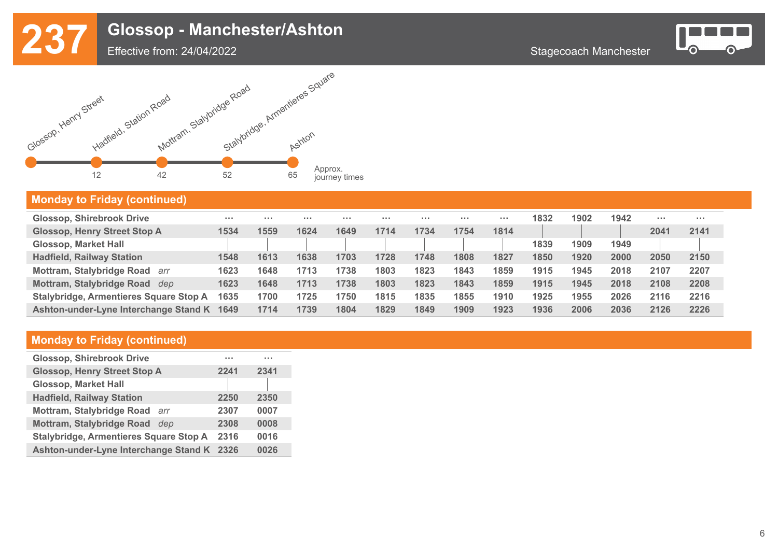





#### **Monday to Friday (continued)**

| <b>Glossop, Shirebrook Drive</b>        | .    | $\cdots$ | .    | $\cdots$ | $\cdots$ | $\cdots$ | $\sim$ $\sim$ $\sim$ | .    | 1832 | 1902 | 1942 | $\sim$ $\sim$ $\sim$ | $\cdots$ |
|-----------------------------------------|------|----------|------|----------|----------|----------|----------------------|------|------|------|------|----------------------|----------|
| <b>Glossop, Henry Street Stop A</b>     | 1534 | 1559     | 1624 | 1649     | 1714     | 1734     | 1754                 | 1814 |      |      |      | 2041                 | 2141     |
| <b>Glossop, Market Hall</b>             |      |          |      |          |          |          |                      |      | 1839 | 1909 | 1949 |                      |          |
| <b>Hadfield, Railway Station</b>        | 1548 | 1613     | 1638 | 1703     | 1728     | 1748     | 1808                 | 1827 | 1850 | 1920 | 2000 | 2050                 | 2150     |
| <b>Mottram, Stalybridge Road</b><br>arr | 1623 | 1648     | 1713 | 1738     | 1803     | 1823     | 1843                 | 1859 | 1915 | 1945 | 2018 | 2107                 | 2207     |
| Mottram, Stalybridge Road<br>dep        | 1623 | 1648     | 1713 | 1738     | 1803     | 1823     | 1843                 | 1859 | 1915 | 1945 | 2018 | 2108                 | 2208     |
| Stalybridge, Armentieres Square Stop A  | 1635 | 1700     | 1725 | 1750     | 1815     | 1835     | 1855                 | 1910 | 1925 | 1955 | 2026 | 2116                 | 2216     |
| Ashton-under-Lyne Interchange Stand K   | 1649 | 1714     | 1739 | 1804     | 1829     | 1849     | 1909                 | 1923 | 1936 | 2006 | 2036 | 2126                 | 2226     |

| <b>Glossop, Shirebrook Drive</b>              | .    | $\sim$ $\sim$ $\sim$ |
|-----------------------------------------------|------|----------------------|
| <b>Glossop, Henry Street Stop A</b>           | 2241 | 2341                 |
| <b>Glossop, Market Hall</b>                   |      |                      |
| <b>Hadfield, Railway Station</b>              | 2250 | 2350                 |
| Mottram, Stalybridge Road<br>arr              | 2307 | 0007                 |
| <b>Mottram, Stalybridge Road</b><br>dep       | 2308 | 0008                 |
| <b>Stalybridge, Armentieres Square Stop A</b> | 2316 | 0016                 |
| Ashton-under-Lyne Interchange Stand K 2326    |      | 0026                 |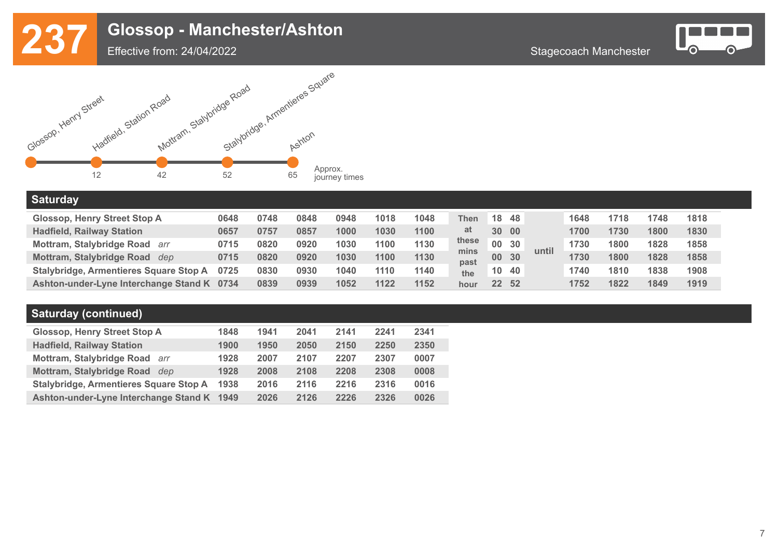



Effective from: 24/04/2022

#### **Saturday**

| <b>Glossop, Henry Street Stop A</b>        | 0648 | 0748 | 0848 | 0948 | 1018 | 1048 | <b>Then</b>  | 18 48   |      |       | 1648 | 1718 | 1748 | 1818 |
|--------------------------------------------|------|------|------|------|------|------|--------------|---------|------|-------|------|------|------|------|
| <b>Hadfield, Railway Station</b>           | 0657 | 0757 | 0857 | 1000 | 1030 | 1100 | at           | 30 00   |      |       | 1700 | 1730 | 1800 | 1830 |
| Mottram, Stalybridge Road arr              | 0715 | 0820 | 0920 | 1030 | 1100 | 1130 | these        | 00 30   |      |       | 1730 | 1800 | 1828 | 1858 |
| Mottram, Stalybridge Road dep              | 0715 | 0820 | 0920 | 1030 | 1100 | 1130 | mins<br>past | 00 30   |      | until | 1730 | 1800 | 1828 | 1858 |
| Stalybridge, Armentieres Square Stop A     | 0725 | 0830 | 0930 | 1040 | 1110 | 1140 | the          | 10      | - 40 |       | 1740 | 1810 | 1838 | 1908 |
| Ashton-under-Lyne Interchange Stand K 0734 |      | 0839 | 0939 | 1052 | 1122 | 1152 | hour         | $22 \,$ | - 52 |       | 1752 | 1822 | 1849 | 1919 |

#### **Saturday (continued)**

| <b>Glossop, Henry Street Stop A</b>           | 1848 | 1941 | 2041 | 2141 | 2241 | 2341 |
|-----------------------------------------------|------|------|------|------|------|------|
| <b>Hadfield, Railway Station</b>              | 1900 | 1950 | 2050 | 2150 | 2250 | 2350 |
| Mottram, Stalybridge Road arr                 | 1928 | 2007 | 2107 | 2207 | 2307 | 0007 |
| Mottram, Stalybridge Road<br>dep              | 1928 | 2008 | 2108 | 2208 | 2308 | 0008 |
| <b>Stalybridge, Armentieres Square Stop A</b> | 1938 | 2016 | 2116 | 2216 | 2316 | 0016 |
| Ashton-under-Lyne Interchange Stand K 1949    |      | 2026 | 2126 | 2226 | 2326 | 0026 |